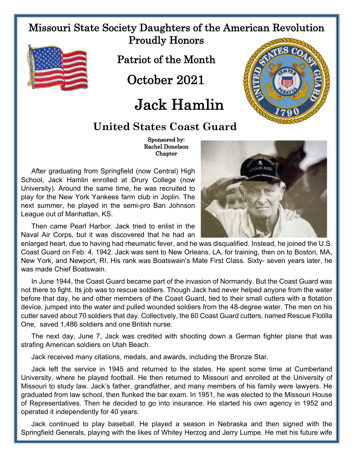## Missouri State Society Daughters of the American Revolution Proudly Honors



Patriot of the Month

October 2021

## Jack Hamlin



## United States Coast Guard

 Rachel Donelson **Chapter** 

After graduating from Springfield (now Central) High School, Jack Hamlin enrolled at Drury College (now University). Around the same time, he was recruited to play for the New York Yankees farm club in Joplin. The next summer, he played in the semi-pro Ban Johnson League out of Manhattan, KS.

Then came Pearl Harbor. Jack tried to enlist in the Naval Air Corps, but it was discovered that he had an

enlarged heart, due to having had rheumatic fever, and he was disqualified. Instead, he joined the U.S. Coast Guard on Feb. 4, 1942. Jack was sent to New Orleans, LA, for training, then on to Boston, MA, New York, and Newport, RI. His rank was Boatswain's Mate First Class. Sixty- seven years later, he was made Chief Boatswain.

In June 1944, the Coast Guard became part of the invasion of Normandy. But the Coast Guard was not there to fight. Its job was to rescue soldiers. Though Jack had never helped anyone from the water before that day, he and other members of the Coast Guard, tied to their small cutters with a flotation device, jumped into the water and pulled wounded soldiers from the 48-degree water. The men on his cutter saved about 70 soldiers that day. Collectively, the 60 Coast Guard cutters, named Rescue Flotilla One, saved 1,486 soldiers and one British nurse.

The next day, June 7, Jack was credited with shooting down a German fighter plane that was strafing American soldiers on Utah Beach.

Jack received many citations, medals, and awards, including the Bronze Star.

Jack left the service in 1945 and returned to the states. He spent some time at Cumberland University, where he played football. He then returned to Missouri and enrolled at the University of Missouri to study law. Jack's father, grandfather, and many members of his family were lawyers. He graduated from law school, then flunked the bar exam. In 1951, he was elected to the Missouri House of Representatives. Then he decided to go into insurance. He started his own agency in 1952 and operated it independently for 40 years.

Jack continued to play baseball. He played a season in Nebraska and then signed with the Springfield Generals, playing with the likes of Whitey Herzog and Jerry Lumpe. He met his future wife